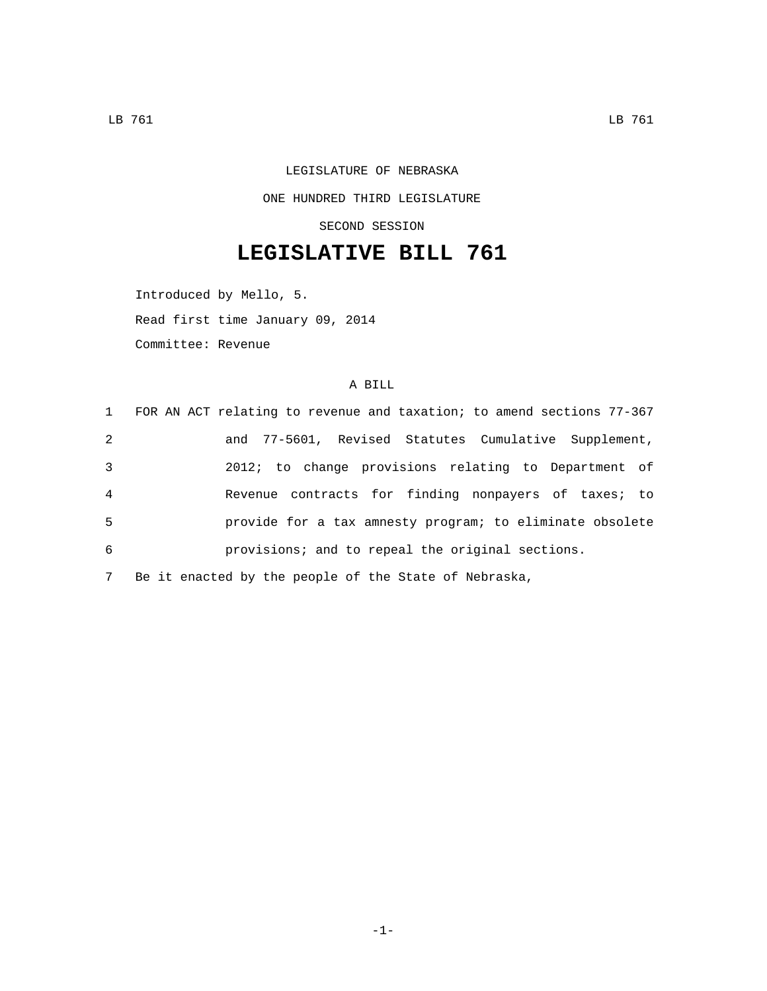## LEGISLATURE OF NEBRASKA ONE HUNDRED THIRD LEGISLATURE SECOND SESSION

## **LEGISLATIVE BILL 761**

Introduced by Mello, 5.

Read first time January 09, 2014

Committee: Revenue

## A BILL

|                | 1 FOR AN ACT relating to revenue and taxation; to amend sections 77-367 |
|----------------|-------------------------------------------------------------------------|
| 2              | and 77-5601, Revised Statutes Cumulative Supplement,                    |
| 3              | 2012; to change provisions relating to Department of                    |
| $\overline{4}$ | Revenue contracts for finding nonpayers of taxes; to                    |
| 5              | provide for a tax amnesty program; to eliminate obsolete                |
| 6              | provisions; and to repeal the original sections.                        |
| 7              | Be it enacted by the people of the State of Nebraska,                   |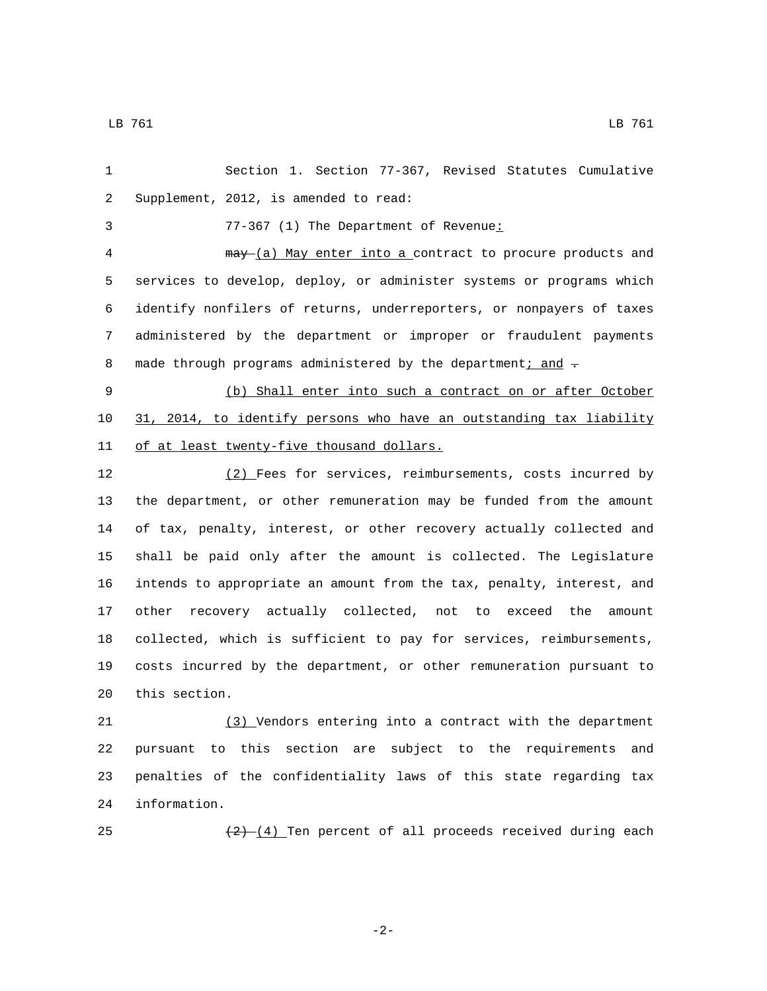Section 1. Section 77-367, Revised Statutes Cumulative 2 Supplement, 2012, is amended to read:

77-367 (1) The Department of Revenue: 3

 may (a) May enter into a contract to procure products and services to develop, deploy, or administer systems or programs which identify nonfilers of returns, underreporters, or nonpayers of taxes administered by the department or improper or fraudulent payments 8 made through programs administered by the department; and -

 (b) Shall enter into such a contract on or after October 31, 2014, to identify persons who have an outstanding tax liability 11 of at least twenty-five thousand dollars.

 (2) Fees for services, reimbursements, costs incurred by the department, or other remuneration may be funded from the amount of tax, penalty, interest, or other recovery actually collected and shall be paid only after the amount is collected. The Legislature intends to appropriate an amount from the tax, penalty, interest, and other recovery actually collected, not to exceed the amount collected, which is sufficient to pay for services, reimbursements, costs incurred by the department, or other remuneration pursuant to 20 this section.

 (3) Vendors entering into a contract with the department pursuant to this section are subject to the requirements and penalties of the confidentiality laws of this state regarding tax 24 information.

25  $\left(\frac{2}{2}\right)$  (4) Ten percent of all proceeds received during each

-2-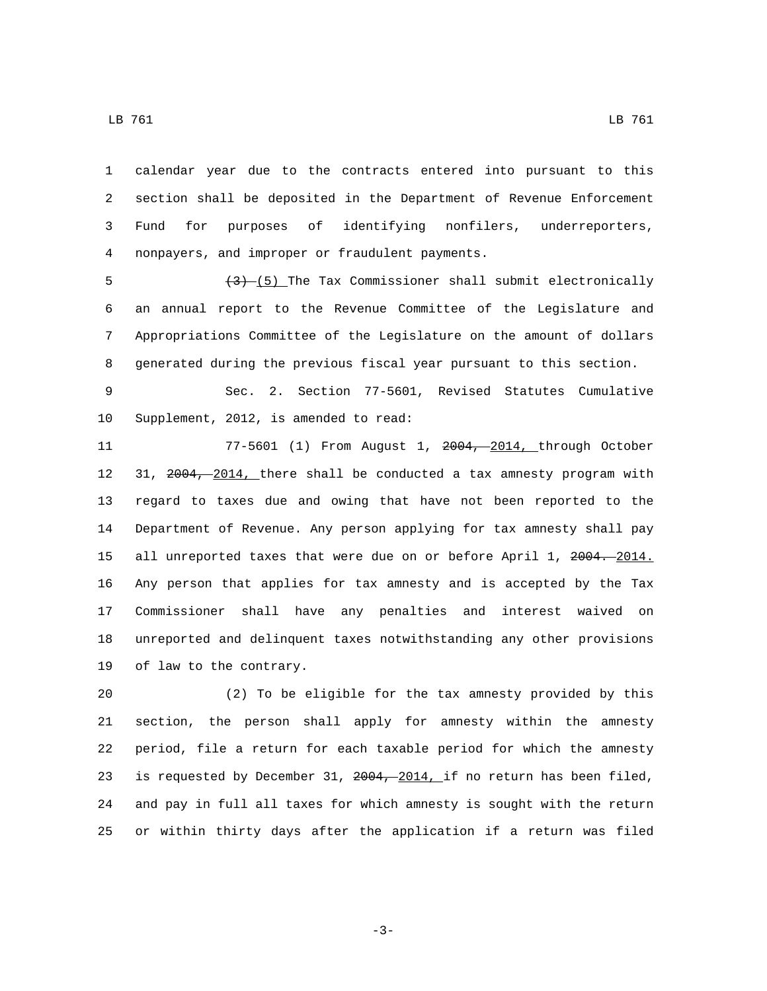calendar year due to the contracts entered into pursuant to this section shall be deposited in the Department of Revenue Enforcement Fund for purposes of identifying nonfilers, underreporters,

 $\left(3\right)$  (5) The Tax Commissioner shall submit electronically an annual report to the Revenue Committee of the Legislature and Appropriations Committee of the Legislature on the amount of dollars generated during the previous fiscal year pursuant to this section.

nonpayers, and improper or fraudulent payments.4

 Sec. 2. Section 77-5601, Revised Statutes Cumulative 10 Supplement, 2012, is amended to read:

 77-5601 (1) From August 1, 2004, 2014, through October 31, 2004, 2014, there shall be conducted a tax amnesty program with regard to taxes due and owing that have not been reported to the Department of Revenue. Any person applying for tax amnesty shall pay 15 all unreported taxes that were due on or before April 1, 2004. 2014. Any person that applies for tax amnesty and is accepted by the Tax Commissioner shall have any penalties and interest waived on unreported and delinquent taxes notwithstanding any other provisions 19 of law to the contrary.

 (2) To be eligible for the tax amnesty provided by this section, the person shall apply for amnesty within the amnesty period, file a return for each taxable period for which the amnesty 23 is requested by December 31, 2004, 2014, if no return has been filed, and pay in full all taxes for which amnesty is sought with the return or within thirty days after the application if a return was filed

LB 761 LB 761

-3-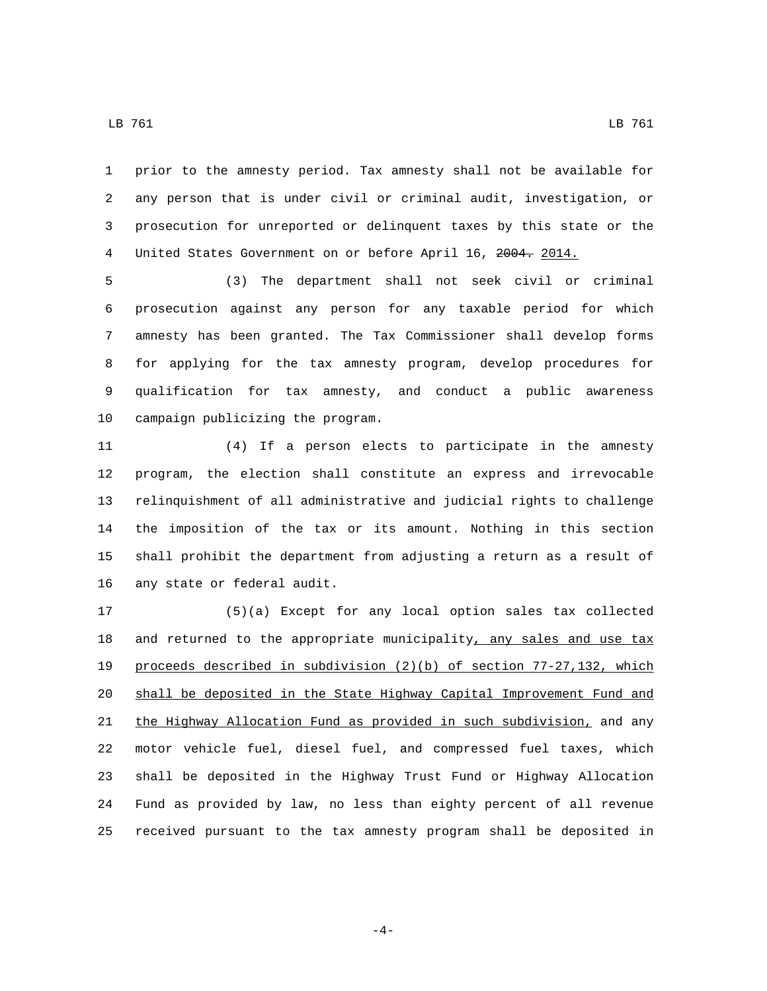LB 761 LB 761

 prior to the amnesty period. Tax amnesty shall not be available for any person that is under civil or criminal audit, investigation, or prosecution for unreported or delinquent taxes by this state or the United States Government on or before April 16, 2004. 2014.

 (3) The department shall not seek civil or criminal prosecution against any person for any taxable period for which amnesty has been granted. The Tax Commissioner shall develop forms for applying for the tax amnesty program, develop procedures for qualification for tax amnesty, and conduct a public awareness 10 campaign publicizing the program.

 (4) If a person elects to participate in the amnesty program, the election shall constitute an express and irrevocable relinquishment of all administrative and judicial rights to challenge the imposition of the tax or its amount. Nothing in this section shall prohibit the department from adjusting a return as a result of 16 any state or federal audit.

 (5)(a) Except for any local option sales tax collected 18 and returned to the appropriate municipality, any sales and use tax proceeds described in subdivision (2)(b) of section 77-27,132, which shall be deposited in the State Highway Capital Improvement Fund and the Highway Allocation Fund as provided in such subdivision, and any motor vehicle fuel, diesel fuel, and compressed fuel taxes, which shall be deposited in the Highway Trust Fund or Highway Allocation Fund as provided by law, no less than eighty percent of all revenue received pursuant to the tax amnesty program shall be deposited in

-4-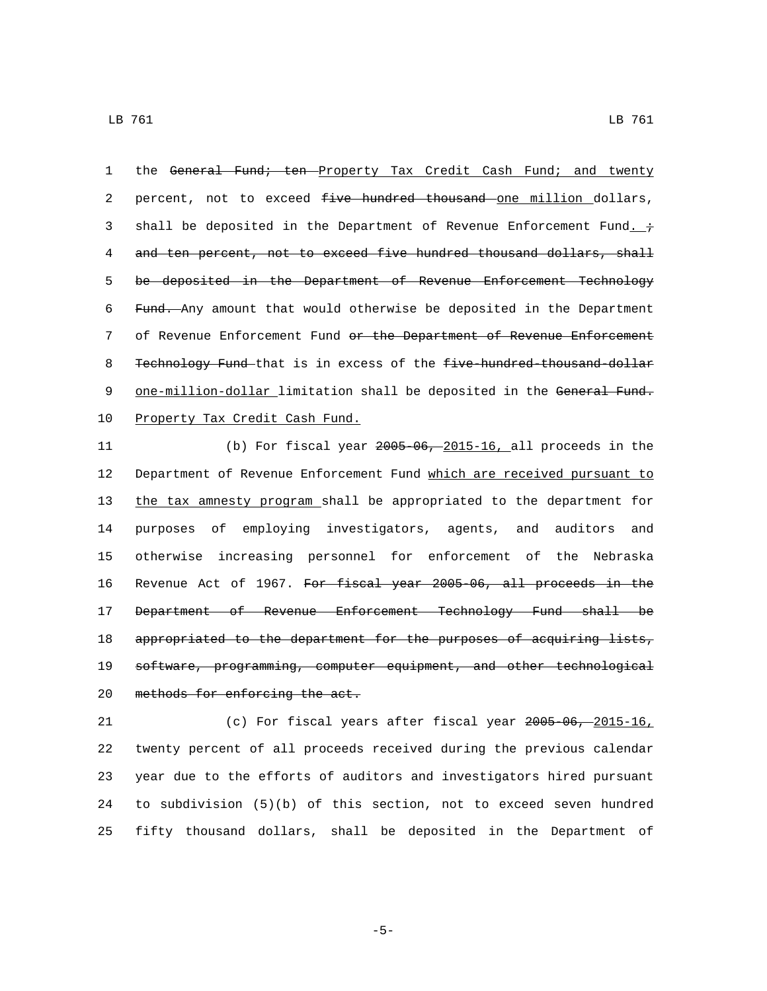1 the General Fund; ten Property Tax Credit Cash Fund; and twenty 2 percent, not to exceed five hundred thousand one million dollars, 3 shall be deposited in the Department of Revenue Enforcement Fund.  $\dot{\tau}$ 4 and ten percent, not to exceed five hundred thousand dollars, shall 5 be deposited in the Department of Revenue Enforcement Technology 6 Fund. Any amount that would otherwise be deposited in the Department 7 of Revenue Enforcement Fund or the Department of Revenue Enforcement 8 Technology Fund that is in excess of the five-hundred-thousand-dollar 9 one-million-dollar limitation shall be deposited in the General Fund. 10 Property Tax Credit Cash Fund.

 (b) For fiscal year 2005-06, 2015-16, all proceeds in the Department of Revenue Enforcement Fund which are received pursuant to the tax amnesty program shall be appropriated to the department for purposes of employing investigators, agents, and auditors and otherwise increasing personnel for enforcement of the Nebraska Revenue Act of 1967. For fiscal year 2005-06, all proceeds in the Department of Revenue Enforcement Technology Fund shall be 18 appropriated to the department for the purposes of acquiring lists, 19 software, programming, computer equipment, and other technological 20 methods for enforcing the act.

 (c) For fiscal years after fiscal year 2005-06, 2015-16, twenty percent of all proceeds received during the previous calendar year due to the efforts of auditors and investigators hired pursuant to subdivision (5)(b) of this section, not to exceed seven hundred fifty thousand dollars, shall be deposited in the Department of

-5-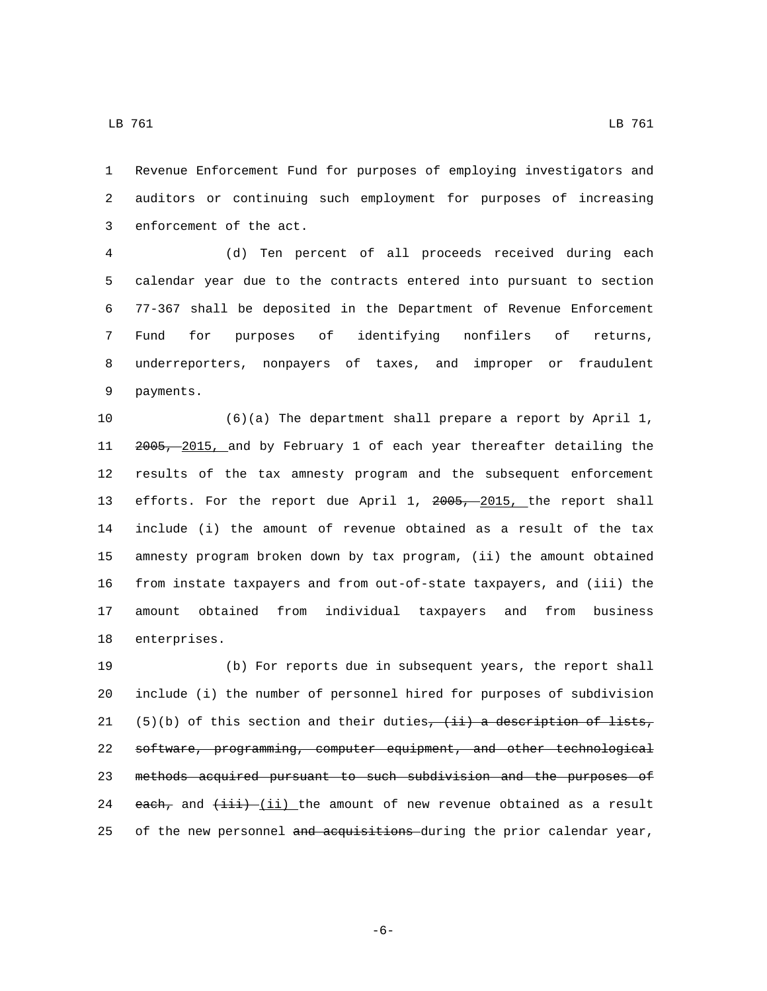Revenue Enforcement Fund for purposes of employing investigators and auditors or continuing such employment for purposes of increasing 3 enforcement of the act.

 (d) Ten percent of all proceeds received during each calendar year due to the contracts entered into pursuant to section 77-367 shall be deposited in the Department of Revenue Enforcement Fund for purposes of identifying nonfilers of returns, underreporters, nonpayers of taxes, and improper or fraudulent 9 payments.

 (6)(a) The department shall prepare a report by April 1, 2005, 2015, and by February 1 of each year thereafter detailing the results of the tax amnesty program and the subsequent enforcement 13 efforts. For the report due April 1, 2005, 2015, the report shall include (i) the amount of revenue obtained as a result of the tax amnesty program broken down by tax program, (ii) the amount obtained from instate taxpayers and from out-of-state taxpayers, and (iii) the amount obtained from individual taxpayers and from business 18 enterprises.

 (b) For reports due in subsequent years, the report shall include (i) the number of personnel hired for purposes of subdivision 21 (5)(b) of this section and their duties,  $(i)$  a description of lists, software, programming, computer equipment, and other technological methods acquired pursuant to such subdivision and the purposes of 24 each, and  $(iii)$  (ii) the amount of new revenue obtained as a result 25 of the new personnel and acquisitions during the prior calendar year,

-6-